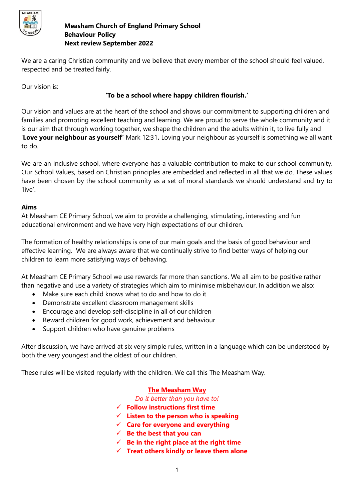

We are a caring Christian community and we believe that every member of the school should feel valued, respected and be treated fairly.

Our vision is:

## **'To be a school where happy children flourish.'**

Our vision and values are at the heart of the school and shows our commitment to supporting children and families and promoting excellent teaching and learning. We are proud to serve the whole community and it is our aim that through working together, we shape the children and the adults within it, to live fully and '**Love your neighbour as yourself'** Mark 12:31**.** Loving your neighbour as yourself is something we all want to do.

We are an inclusive school, where everyone has a valuable contribution to make to our school community. Our School Values, based on Christian principles are embedded and reflected in all that we do. These values have been chosen by the school community as a set of moral standards we should understand and try to 'live'.

## **Aims**

At Measham CE Primary School, we aim to provide a challenging, stimulating, interesting and fun educational environment and we have very high expectations of our children.

The formation of healthy relationships is one of our main goals and the basis of good behaviour and effective learning. We are always aware that we continually strive to find better ways of helping our children to learn more satisfying ways of behaving.

At Measham CE Primary School we use rewards far more than sanctions. We all aim to be positive rather than negative and use a variety of strategies which aim to minimise misbehaviour. In addition we also:

- Make sure each child knows what to do and how to do it
- Demonstrate excellent classroom management skills
- Encourage and develop self-discipline in all of our children
- Reward children for good work, achievement and behaviour
- Support children who have genuine problems

After discussion, we have arrived at six very simple rules, written in a language which can be understood by both the very youngest and the oldest of our children.

These rules will be visited regularly with the children. We call this The Measham Way.

## **The Measham Way**

*Do it better than you have to!*

- **Follow instructions first time**
- **Listen to the person who is speaking**
- **Care for everyone and everything**
- **Be the best that you can**
- $\checkmark$  Be in the right place at the right time
- **Treat others kindly or leave them alone**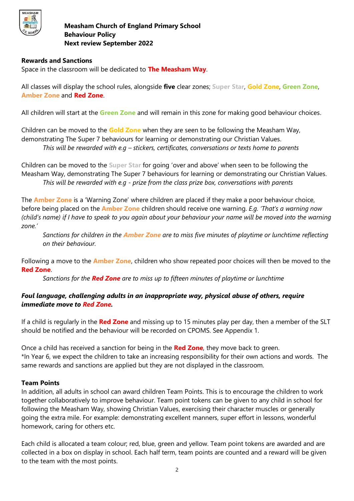

#### **Rewards and Sanctions**

Space in the classroom will be dedicated to **The Measham Way**.

All classes will display the school rules, alongside **five** clear zones; **Super Star**, **Gold Zone**, **Green Zone**, **Amber Zone** and **Red Zone**.

All children will start at the **Green Zone** and will remain in this zone for making good behaviour choices.

Children can be moved to the **Gold Zone** when they are seen to be following the Measham Way, demonstrating The Super 7 behaviours for learning or demonstrating our Christian Values. *This will be rewarded with e.g – stickers, certificates, conversations or texts home to parents*

Children can be moved to the **Super Star** for going 'over and above' when seen to be following the Measham Way, demonstrating The Super 7 behaviours for learning or demonstrating our Christian Values. *This will be rewarded with e.g - prize from the class prize box, conversations with parents*

The **Amber Zone** is a 'Warning Zone' where children are placed if they make a poor behaviour choice, before being placed on the **Amber Zone** children should receive one warning. *E.g. 'That's a warning now (child's name) if I have to speak to you again about your behaviour your name will be moved into the warning zone.'*

*Sanctions for children in the Amber Zone are to miss five minutes of playtime or lunchtime reflecting on their behaviour.*

Following a move to the **Amber Zone**, children who show repeated poor choices will then be moved to the **Red Zone**.

*Sanctions for the Red Zone are to miss up to fifteen minutes of playtime or lunchtime*

## *Foul language, challenging adults in an inappropriate way, physical abuse of others, require immediate move to Red Zone.*

If a child is regularly in the **Red Zone** and missing up to 15 minutes play per day, then a member of the SLT should be notified and the behaviour will be recorded on CPOMS. See Appendix 1.

Once a child has received a sanction for being in the **Red Zone**, they move back to green. \*In Year 6, we expect the children to take an increasing responsibility for their own actions and words. The same rewards and sanctions are applied but they are not displayed in the classroom.

## **Team Points**

In addition, all adults in school can award children Team Points. This is to encourage the children to work together collaboratively to improve behaviour. Team point tokens can be given to any child in school for following the Measham Way, showing Christian Values, exercising their character muscles or generally going the extra mile. For example: demonstrating excellent manners, super effort in lessons, wonderful homework, caring for others etc.

Each child is allocated a team colour; red, blue, green and yellow. Team point tokens are awarded and are collected in a box on display in school. Each half term, team points are counted and a reward will be given to the team with the most points.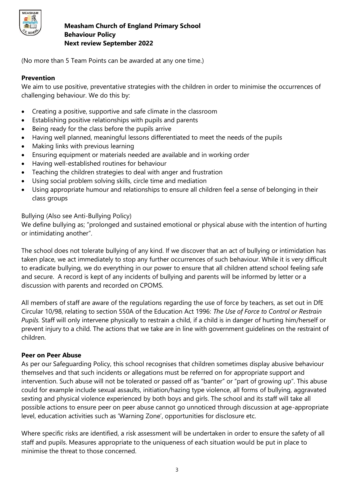

(No more than 5 Team Points can be awarded at any one time.)

## **Prevention**

We aim to use positive, preventative strategies with the children in order to minimise the occurrences of challenging behaviour. We do this by:

- Creating a positive, supportive and safe climate in the classroom
- Establishing positive relationships with pupils and parents
- Being ready for the class before the pupils arrive
- Having well planned, meaningful lessons differentiated to meet the needs of the pupils
- Making links with previous learning
- Ensuring equipment or materials needed are available and in working order
- Having well-established routines for behaviour
- Teaching the children strategies to deal with anger and frustration
- Using social problem solving skills, circle time and mediation
- Using appropriate humour and relationships to ensure all children feel a sense of belonging in their class groups

Bullying (Also see Anti-Bullying Policy)

We define bullying as; "prolonged and sustained emotional or physical abuse with the intention of hurting or intimidating another".

The school does not tolerate bullying of any kind. If we discover that an act of bullying or intimidation has taken place, we act immediately to stop any further occurrences of such behaviour. While it is very difficult to eradicate bullying, we do everything in our power to ensure that all children attend school feeling safe and secure. A record is kept of any incidents of bullying and parents will be informed by letter or a discussion with parents and recorded on CPOMS.

All members of staff are aware of the regulations regarding the use of force by teachers, as set out in DfE Circular 10/98, relating to section 550A of the Education Act 1996: *The Use of Force to Control or Restrain Pupils.* Staff will only intervene physically to restrain a child, if a child is in danger of hurting him/herself or prevent injury to a child. The actions that we take are in line with government guidelines on the restraint of children.

#### **Peer on Peer Abuse**

As per our Safeguarding Policy, this school recognises that children sometimes display abusive behaviour themselves and that such incidents or allegations must be referred on for appropriate support and intervention. Such abuse will not be tolerated or passed off as "banter" or "part of growing up". This abuse could for example include sexual assaults, initiation/hazing type violence, all forms of bullying, aggravated sexting and physical violence experienced by both boys and girls. The school and its staff will take all possible actions to ensure peer on peer abuse cannot go unnoticed through discussion at age-appropriate level, education activities such as 'Warning Zone', opportunities for disclosure etc.

Where specific risks are identified, a risk assessment will be undertaken in order to ensure the safety of all staff and pupils. Measures appropriate to the uniqueness of each situation would be put in place to minimise the threat to those concerned.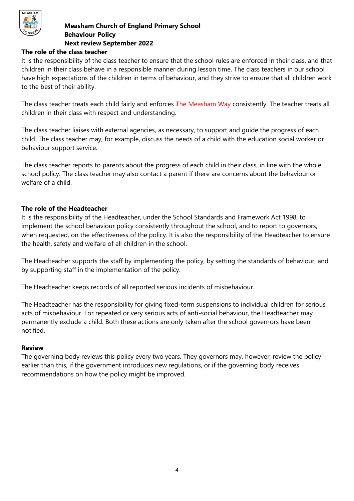

#### **The role of the class teacher**

It is the responsibility of the class teacher to ensure that the school rules are enforced in their class, and that children in their class behave in a responsible manner during lesson time. The class teachers in our school have high expectations of the children in terms of behaviour, and they strive to ensure that all children work to the best of their ability.

The class teacher treats each child fairly and enforces The Measham Way consistently. The teacher treats all children in their class with respect and understanding.

The class teacher liaises with external agencies, as necessary, to support and guide the progress of each child. The class teacher may, for example, discuss the needs of a child with the education social worker or behaviour support service.

The class teacher reports to parents about the progress of each child in their class, in line with the whole school policy. The class teacher may also contact a parent if there are concerns about the behaviour or welfare of a child.

#### **The role of the Headteacher**

It is the responsibility of the Headteacher, under the School Standards and Framework Act 1998, to implement the school behaviour policy consistently throughout the school, and to report to governors, when requested, on the effectiveness of the policy. It is also the responsibility of the Headteacher to ensure the health, safety and welfare of all children in the school.

The Headteacher supports the staff by implementing the policy, by setting the standards of behaviour, and by supporting staff in the implementation of the policy.

The Headteacher keeps records of all reported serious incidents of misbehaviour.

The Headteacher has the responsibility for giving fixed-term suspensions to individual children for serious acts of misbehaviour. For repeated or very serious acts of anti-social behaviour, the Headteacher may permanently exclude a child. Both these actions are only taken after the school governors have been notified.

#### **Review**

The governing body reviews this policy every two years. They governors may, however, review the policy earlier than this, if the government introduces new regulations, or if the governing body receives recommendations on how the policy might be improved.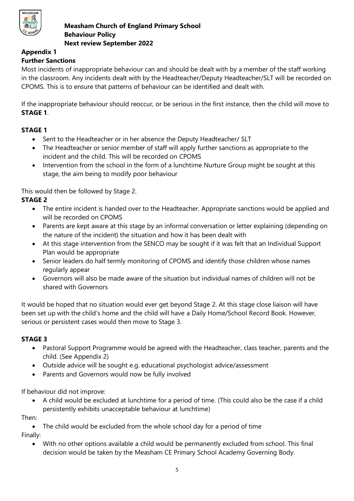

#### **Appendix 1 Further Sanctions**

Most incidents of inappropriate behaviour can and should be dealt with by a member of the staff working in the classroom. Any incidents dealt with by the Headteacher/Deputy Headteacher/SLT will be recorded on CPOMS. This is to ensure that patterns of behaviour can be identified and dealt with.

If the inappropriate behaviour should reoccur, or be serious in the first instance, then the child will move to **STAGE 1**.

# **STAGE 1**

- Sent to the Headteacher or in her absence the Deputy Headteacher/ SLT
- The Headteacher or senior member of staff will apply further sanctions as appropriate to the incident and the child. This will be recorded on CPOMS
- Intervention from the school in the form of a lunchtime Nurture Group might be sought at this stage, the aim being to modify poor behaviour

This would then be followed by Stage 2.

# **STAGE 2**

- The entire incident is handed over to the Headteacher. Appropriate sanctions would be applied and will be recorded on CPOMS
- Parents are kept aware at this stage by an informal conversation or letter explaining (depending on the nature of the incident) the situation and how it has been dealt with
- At this stage intervention from the SENCO may be sought if it was felt that an Individual Support Plan would be appropriate
- Senior leaders do half termly monitoring of CPOMS and identify those children whose names regularly appear
- Governors will also be made aware of the situation but individual names of children will not be shared with Governors

It would be hoped that no situation would ever get beyond Stage 2. At this stage close liaison will have been set up with the child's home and the child will have a Daily Home/School Record Book. However, serious or persistent cases would then move to Stage 3.

# **STAGE 3**

- Pastoral Support Programme would be agreed with the Headteacher, class teacher, parents and the child. (See Appendix 2)
- Outside advice will be sought e.g. educational psychologist advice/assessment
- Parents and Governors would now be fully involved

If behaviour did not improve:

 A child would be excluded at lunchtime for a period of time. (This could also be the case if a child persistently exhibits unacceptable behaviour at lunchtime)

Then:

• The child would be excluded from the whole school day for a period of time Finally:

 With no other options available a child would be permanently excluded from school. This final decision would be taken by the Measham CE Primary School Academy Governing Body.